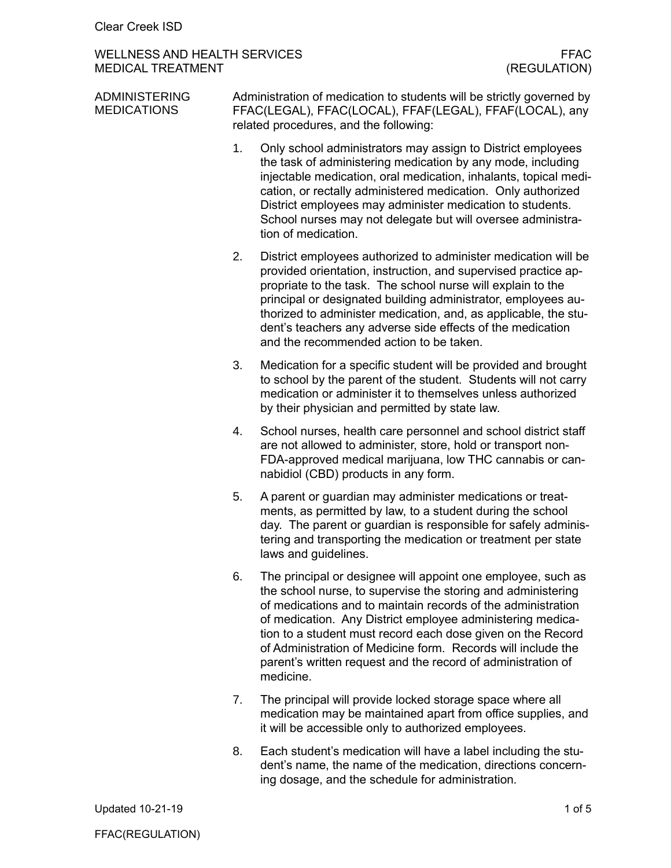## WELLNESS AND HEALTH SERVICES<br>MEDICAL TREATMENT (REGULATION) MEDICAL TREATMENT

| <b>ADMINISTERING</b><br><b>MEDICATIONS</b> | Administration of medication to students will be strictly governed by<br>FFAC(LEGAL), FFAC(LOCAL), FFAF(LEGAL), FFAF(LOCAL), any<br>related procedures, and the following: |                                                                                                                                                                                                                                                                                                                                                                                                                                                                        |  |
|--------------------------------------------|----------------------------------------------------------------------------------------------------------------------------------------------------------------------------|------------------------------------------------------------------------------------------------------------------------------------------------------------------------------------------------------------------------------------------------------------------------------------------------------------------------------------------------------------------------------------------------------------------------------------------------------------------------|--|
|                                            | 1.                                                                                                                                                                         | Only school administrators may assign to District employees<br>the task of administering medication by any mode, including<br>injectable medication, oral medication, inhalants, topical medi-<br>cation, or rectally administered medication. Only authorized<br>District employees may administer medication to students.<br>School nurses may not delegate but will oversee administra-<br>tion of medication.                                                      |  |
|                                            | 2.                                                                                                                                                                         | District employees authorized to administer medication will be<br>provided orientation, instruction, and supervised practice ap-<br>propriate to the task. The school nurse will explain to the<br>principal or designated building administrator, employees au-<br>thorized to administer medication, and, as applicable, the stu-<br>dent's teachers any adverse side effects of the medication<br>and the recommended action to be taken.                           |  |
|                                            | 3.                                                                                                                                                                         | Medication for a specific student will be provided and brought<br>to school by the parent of the student. Students will not carry<br>medication or administer it to themselves unless authorized<br>by their physician and permitted by state law.                                                                                                                                                                                                                     |  |
|                                            | 4.                                                                                                                                                                         | School nurses, health care personnel and school district staff<br>are not allowed to administer, store, hold or transport non-<br>FDA-approved medical marijuana, low THC cannabis or can-<br>nabidiol (CBD) products in any form.                                                                                                                                                                                                                                     |  |
|                                            | 5.                                                                                                                                                                         | A parent or guardian may administer medications or treat-<br>ments, as permitted by law, to a student during the school<br>day. The parent or guardian is responsible for safely adminis-<br>tering and transporting the medication or treatment per state<br>laws and guidelines.                                                                                                                                                                                     |  |
|                                            | 6.                                                                                                                                                                         | The principal or designee will appoint one employee, such as<br>the school nurse, to supervise the storing and administering<br>of medications and to maintain records of the administration<br>of medication. Any District employee administering medica-<br>tion to a student must record each dose given on the Record<br>of Administration of Medicine form. Records will include the<br>parent's written request and the record of administration of<br>medicine. |  |
|                                            | 7.                                                                                                                                                                         | The principal will provide locked storage space where all<br>medication may be maintained apart from office supplies, and<br>it will be accessible only to authorized employees.                                                                                                                                                                                                                                                                                       |  |

8. Each student's medication will have a label including the student's name, the name of the medication, directions concerning dosage, and the schedule for administration.

Updated 10-21-19 1 of 5

FFAC(REGULATION)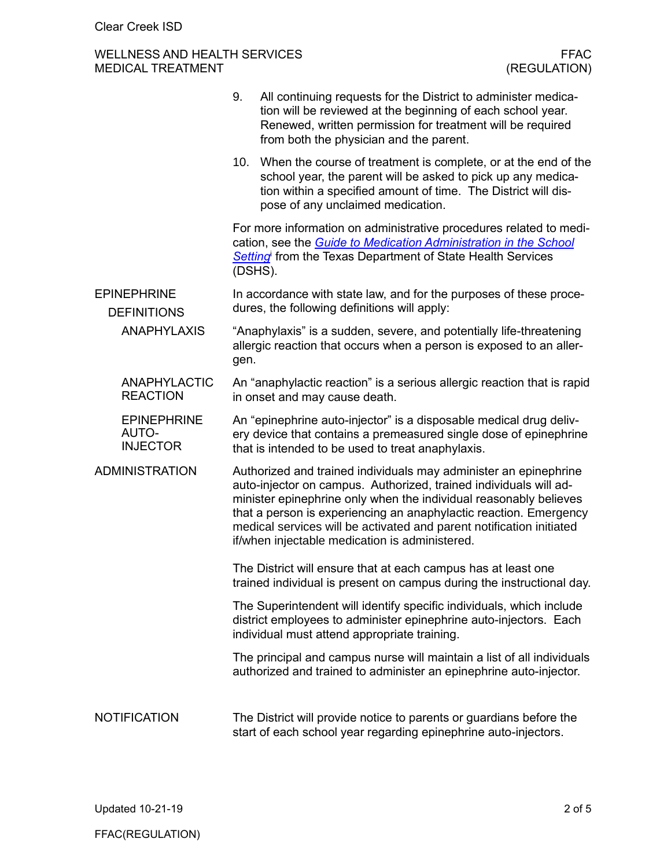## WELLNESS AND HEALTH SERVICES FFAC FFAC<br>MEDICAL TREATMENT (REGULATION) MEDICAL TREATMENT

|                                                                | 9.                                                                                                                                                                                                                                                                                                                                                                                                        | All continuing requests for the District to administer medica-<br>tion will be reviewed at the beginning of each school year.<br>Renewed, written permission for treatment will be required<br>from both the physician and the parent. |  |  |  |
|----------------------------------------------------------------|-----------------------------------------------------------------------------------------------------------------------------------------------------------------------------------------------------------------------------------------------------------------------------------------------------------------------------------------------------------------------------------------------------------|----------------------------------------------------------------------------------------------------------------------------------------------------------------------------------------------------------------------------------------|--|--|--|
|                                                                | 10.                                                                                                                                                                                                                                                                                                                                                                                                       | When the course of treatment is complete, or at the end of the<br>school year, the parent will be asked to pick up any medica-<br>tion within a specified amount of time. The District will dis-<br>pose of any unclaimed medication.  |  |  |  |
|                                                                | For more information on administrative procedures related to medi-<br>cation, see the Guide to Medication Administration in the School<br>Setting from the Texas Department of State Health Services<br>(DSHS).                                                                                                                                                                                           |                                                                                                                                                                                                                                        |  |  |  |
| <b>EPINEPHRINE</b><br><b>DEFINITIONS</b><br><b>ANAPHYLAXIS</b> | In accordance with state law, and for the purposes of these proce-<br>dures, the following definitions will apply:                                                                                                                                                                                                                                                                                        |                                                                                                                                                                                                                                        |  |  |  |
|                                                                | "Anaphylaxis" is a sudden, severe, and potentially life-threatening<br>allergic reaction that occurs when a person is exposed to an aller-<br>gen.                                                                                                                                                                                                                                                        |                                                                                                                                                                                                                                        |  |  |  |
| <b>ANAPHYLACTIC</b><br><b>REACTION</b>                         | An "anaphylactic reaction" is a serious allergic reaction that is rapid<br>in onset and may cause death.                                                                                                                                                                                                                                                                                                  |                                                                                                                                                                                                                                        |  |  |  |
| <b>EPINEPHRINE</b><br>AUTO-<br><b>INJECTOR</b>                 | An "epinephrine auto-injector" is a disposable medical drug deliv-<br>ery device that contains a premeasured single dose of epinephrine<br>that is intended to be used to treat anaphylaxis.                                                                                                                                                                                                              |                                                                                                                                                                                                                                        |  |  |  |
| <b>ADMINISTRATION</b>                                          | Authorized and trained individuals may administer an epinephrine<br>auto-injector on campus. Authorized, trained individuals will ad-<br>minister epinephrine only when the individual reasonably believes<br>that a person is experiencing an anaphylactic reaction. Emergency<br>medical services will be activated and parent notification initiated<br>if/when injectable medication is administered. |                                                                                                                                                                                                                                        |  |  |  |
|                                                                | The District will ensure that at each campus has at least one<br>trained individual is present on campus during the instructional day.                                                                                                                                                                                                                                                                    |                                                                                                                                                                                                                                        |  |  |  |
|                                                                | The Superintendent will identify specific individuals, which include<br>district employees to administer epinephrine auto-injectors. Each<br>individual must attend appropriate training.                                                                                                                                                                                                                 |                                                                                                                                                                                                                                        |  |  |  |
|                                                                |                                                                                                                                                                                                                                                                                                                                                                                                           | The principal and campus nurse will maintain a list of all individuals<br>authorized and trained to administer an epinephrine auto-injector.                                                                                           |  |  |  |
| <b>NOTIFICATION</b>                                            |                                                                                                                                                                                                                                                                                                                                                                                                           | The District will provide notice to parents or guardians before the<br>start of each school year regarding epinephrine auto-injectors.                                                                                                 |  |  |  |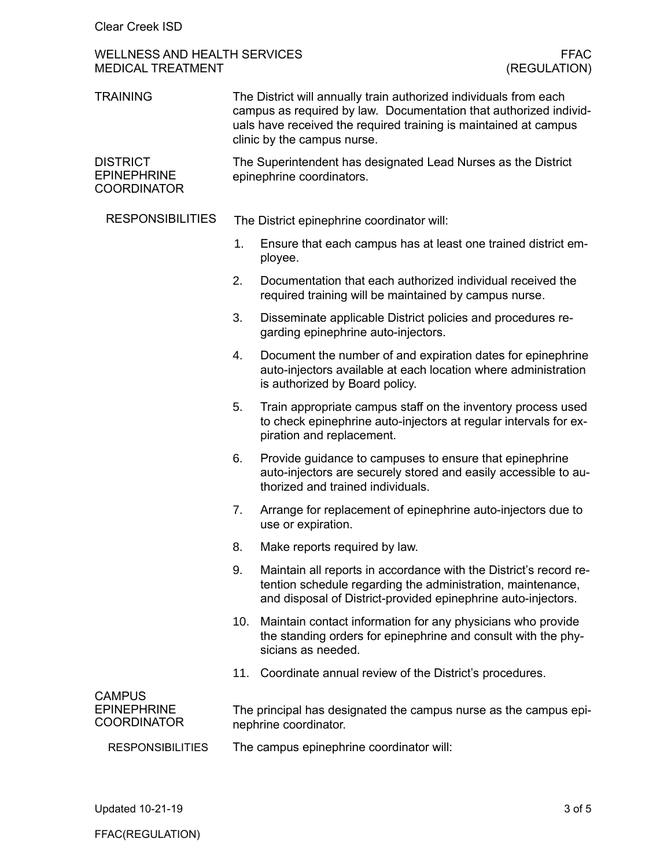## WELLNESS AND HEALTH SERVICES FFAC FFAC<br>MEDICAL TREATMENT (REGULATION) MEDICAL TREATMENT

| <b>TRAINING</b>                                             | The District will annually train authorized individuals from each<br>campus as required by law. Documentation that authorized individ-<br>uals have received the required training is maintained at campus<br>clinic by the campus nurse. |                                                                                                                                                                                                   |  |
|-------------------------------------------------------------|-------------------------------------------------------------------------------------------------------------------------------------------------------------------------------------------------------------------------------------------|---------------------------------------------------------------------------------------------------------------------------------------------------------------------------------------------------|--|
| <b>DISTRICT</b><br><b>EPINEPHRINE</b><br><b>COORDINATOR</b> | The Superintendent has designated Lead Nurses as the District<br>epinephrine coordinators.                                                                                                                                                |                                                                                                                                                                                                   |  |
| <b>RESPONSIBILITIES</b>                                     | The District epinephrine coordinator will:                                                                                                                                                                                                |                                                                                                                                                                                                   |  |
|                                                             | 1.                                                                                                                                                                                                                                        | Ensure that each campus has at least one trained district em-<br>ployee.                                                                                                                          |  |
|                                                             | 2.                                                                                                                                                                                                                                        | Documentation that each authorized individual received the<br>required training will be maintained by campus nurse.                                                                               |  |
|                                                             | 3.                                                                                                                                                                                                                                        | Disseminate applicable District policies and procedures re-<br>garding epinephrine auto-injectors.                                                                                                |  |
|                                                             | 4.                                                                                                                                                                                                                                        | Document the number of and expiration dates for epinephrine<br>auto-injectors available at each location where administration<br>is authorized by Board policy.                                   |  |
|                                                             | 5.                                                                                                                                                                                                                                        | Train appropriate campus staff on the inventory process used<br>to check epinephrine auto-injectors at regular intervals for ex-<br>piration and replacement.                                     |  |
|                                                             | 6.                                                                                                                                                                                                                                        | Provide guidance to campuses to ensure that epinephrine<br>auto-injectors are securely stored and easily accessible to au-<br>thorized and trained individuals.                                   |  |
|                                                             | 7.                                                                                                                                                                                                                                        | Arrange for replacement of epinephrine auto-injectors due to<br>use or expiration.                                                                                                                |  |
|                                                             | 8.                                                                                                                                                                                                                                        | Make reports required by law.                                                                                                                                                                     |  |
|                                                             | 9.                                                                                                                                                                                                                                        | Maintain all reports in accordance with the District's record re-<br>tention schedule regarding the administration, maintenance,<br>and disposal of District-provided epinephrine auto-injectors. |  |
|                                                             | 10.                                                                                                                                                                                                                                       | Maintain contact information for any physicians who provide<br>the standing orders for epinephrine and consult with the phy-<br>sicians as needed.                                                |  |
|                                                             | 11.                                                                                                                                                                                                                                       | Coordinate annual review of the District's procedures.                                                                                                                                            |  |
| <b>CAMPUS</b><br><b>EPINEPHRINE</b><br><b>COORDINATOR</b>   | The principal has designated the campus nurse as the campus epi-<br>nephrine coordinator.                                                                                                                                                 |                                                                                                                                                                                                   |  |
| <b>RESPONSIBILITIES</b>                                     | The campus epinephrine coordinator will:                                                                                                                                                                                                  |                                                                                                                                                                                                   |  |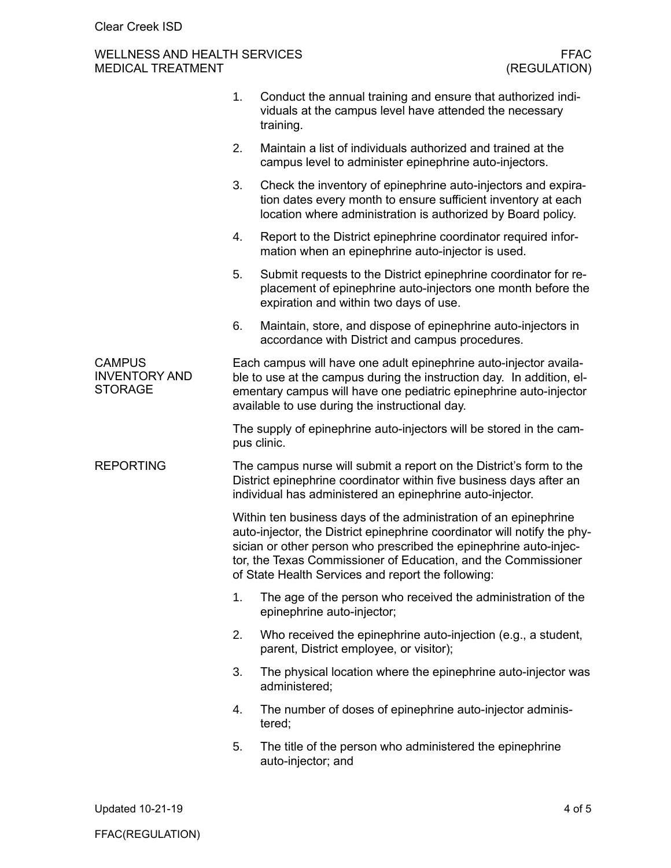# WELLNESS AND HEALTH SERVICES FFAC FFAC FFAC<br>MEDICAL TREATMENT (REGULATION) MEDICAL TREATMENT

|                                                         | 1.                                                                                                                                                                                                                                                                                                                                        | Conduct the annual training and ensure that authorized indi-<br>viduals at the campus level have attended the necessary<br>training.                                                           |  |  |
|---------------------------------------------------------|-------------------------------------------------------------------------------------------------------------------------------------------------------------------------------------------------------------------------------------------------------------------------------------------------------------------------------------------|------------------------------------------------------------------------------------------------------------------------------------------------------------------------------------------------|--|--|
|                                                         | 2.                                                                                                                                                                                                                                                                                                                                        | Maintain a list of individuals authorized and trained at the<br>campus level to administer epinephrine auto-injectors.                                                                         |  |  |
|                                                         | 3.                                                                                                                                                                                                                                                                                                                                        | Check the inventory of epinephrine auto-injectors and expira-<br>tion dates every month to ensure sufficient inventory at each<br>location where administration is authorized by Board policy. |  |  |
|                                                         | 4.                                                                                                                                                                                                                                                                                                                                        | Report to the District epinephrine coordinator required infor-<br>mation when an epinephrine auto-injector is used.                                                                            |  |  |
|                                                         | 5.                                                                                                                                                                                                                                                                                                                                        | Submit requests to the District epinephrine coordinator for re-<br>placement of epinephrine auto-injectors one month before the<br>expiration and within two days of use.                      |  |  |
|                                                         | 6.                                                                                                                                                                                                                                                                                                                                        | Maintain, store, and dispose of epinephrine auto-injectors in<br>accordance with District and campus procedures.                                                                               |  |  |
| <b>CAMPUS</b><br><b>INVENTORY AND</b><br><b>STORAGE</b> | Each campus will have one adult epinephrine auto-injector availa-<br>ble to use at the campus during the instruction day. In addition, el-<br>ementary campus will have one pediatric epinephrine auto-injector<br>available to use during the instructional day.                                                                         |                                                                                                                                                                                                |  |  |
|                                                         | The supply of epinephrine auto-injectors will be stored in the cam-<br>pus clinic.                                                                                                                                                                                                                                                        |                                                                                                                                                                                                |  |  |
| <b>REPORTING</b>                                        | The campus nurse will submit a report on the District's form to the<br>District epinephrine coordinator within five business days after an<br>individual has administered an epinephrine auto-injector.                                                                                                                                   |                                                                                                                                                                                                |  |  |
|                                                         | Within ten business days of the administration of an epinephrine<br>auto-injector, the District epinephrine coordinator will notify the phy-<br>sician or other person who prescribed the epinephrine auto-injec-<br>tor, the Texas Commissioner of Education, and the Commissioner<br>of State Health Services and report the following: |                                                                                                                                                                                                |  |  |
|                                                         | 1.                                                                                                                                                                                                                                                                                                                                        | The age of the person who received the administration of the<br>epinephrine auto-injector;                                                                                                     |  |  |
|                                                         | 2.                                                                                                                                                                                                                                                                                                                                        | Who received the epinephrine auto-injection (e.g., a student,<br>parent, District employee, or visitor);                                                                                       |  |  |
|                                                         | 3.                                                                                                                                                                                                                                                                                                                                        | The physical location where the epinephrine auto-injector was<br>administered;                                                                                                                 |  |  |
|                                                         | 4.                                                                                                                                                                                                                                                                                                                                        | The number of doses of epinephrine auto-injector adminis-<br>tered;                                                                                                                            |  |  |
|                                                         | 5.                                                                                                                                                                                                                                                                                                                                        | The title of the person who administered the epinephrine<br>auto-injector; and                                                                                                                 |  |  |